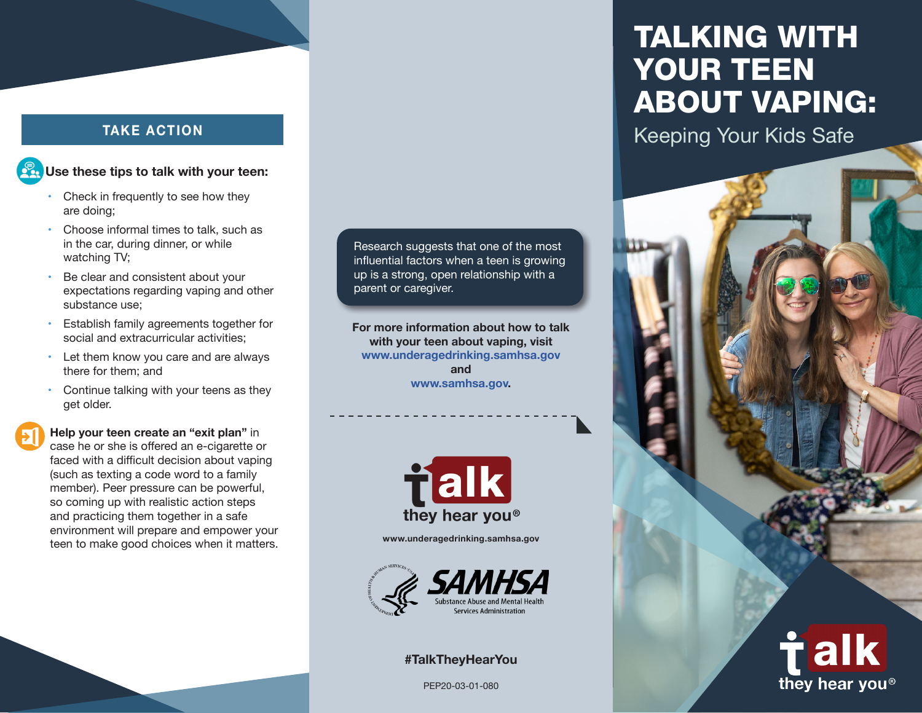# **Use these tips to talk with your teen:**

- Check in frequently to see how they are doing;
- Choose informal times to talk, such as in the car, during dinner, or while watching TV;
- Be clear and consistent about your expectations regarding vaping and other substance use;
- Establish family agreements together for social and extracurricular activities;
- • Let them know you care and are always there for them; and
- Continue talking with your teens as they get older.

**Help your teen create an "exit plan"** in case he or she is offered an e-cigarette or faced with a difficult decision about vaping (such as texting a code word to a family member). Peer pressure can be powerful, so coming up with realistic action steps and practicing them together in a safe environment will prepare and empower your teen to make good choices when it matters. Research suggests that one of the most influential factors when a teen is growing up is a strong, open relationship with a parent or caregiver.

**For more information about how to talk with your teen about vaping, visit [www.underagedrinking.samhsa.gov](https://www.samhsa.gov/underage-drinking) and [www.samhsa.gov.](https://www.samhsa.gov/)**



**[www.underagedrinking.samhsa.gov](https://www.samhsa.gov/underage-drinking)**



#### **#TalkTheyHearYou**

PEP20-03-01-080

# TALKING WITH YOUR TEEN ABOUT VAPING:

TAKE ACTION **TAKE ACTION** 



they hear you<sup>®</sup>